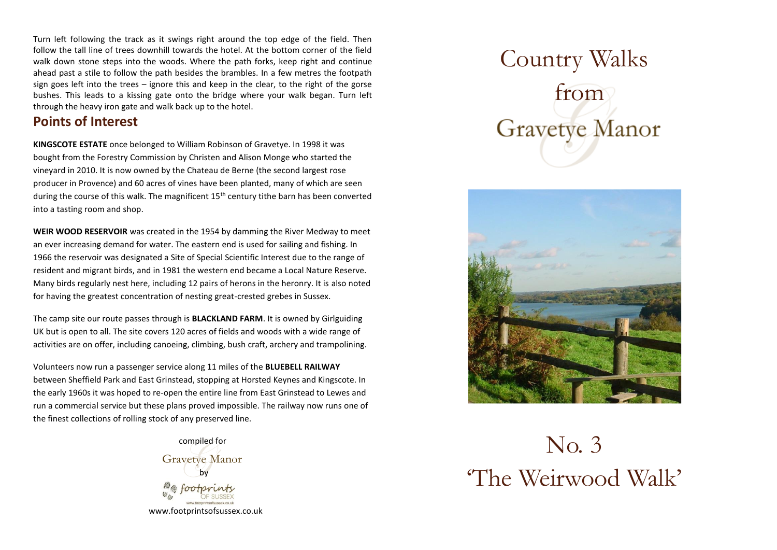Turn left following the track as it swings right around the top edge of the field. Then follow the tall line of trees downhill towards the hotel. At the bottom corner of the field walk down stone steps into the woods. Where the path forks, keep right and continue ahead past a stile to follow the path besides the brambles. In a few metres the footpath sign goes left into the trees – ignore this and keep in the clear, to the right of the gorse bushes. This leads to a kissing gate onto the bridge where your walk began. Turn left through the heavy iron gate and walk back up to the hotel.

#### **Points of Interest**

**KINGSCOTE ESTATE** once belonged to William Robinson of Gravetye. In 1998 it was bought from the Forestry Commission by Christen and Alison Monge who started the vineyard in 2010. It is now owned by the Chateau de Berne (the second largest rose producer in Provence) and 60 acres of vines have been planted, many of which are seen during the course of this walk. The magnificent  $15<sup>th</sup>$  century tithe barn has been converted into a tasting room and shop.

**WEIR WOOD RESERVOIR** was created in the 1954 by damming the River Medway to meet an ever increasing demand for water. The eastern end is used for sailing and fishing. In 1966 the reservoir was designated a Site of Special Scientific Interest due to the range of resident and migrant birds, and in 1981 the western end became a Local Nature Reserve. Many birds regularly nest here, including 12 pairs of herons in the heronry. It is also noted for having the greatest concentration of nesting great-crested grebes in Sussex.

The camp site our route passes through is **BLACKLAND FARM**. It is owned by Girlguiding UK but is open to all. The site covers 120 acres of fields and woods with a wide range of activities are on offer, including canoeing, climbing, bush craft, archery and trampolining.

Volunteers now run a passenger service along 11 miles of the **BLUEBELL RAILWAY** between Sheffield Park and East Grinstead, stopping at Horsted Keynes and Kingscote. In the early 1960s it was hoped to re-open the entire line from East Grinstead to Lewes and run a commercial service but these plans proved impossible. The railway now runs one of the finest collections of rolling stock of any preserved line.



[www.footprintsofsussex.co.uk](http://www.footprintsofsussex.co.uk/)

# Country Walks  $\mathsf{y}$  from **Gravetye Manor**



## No. 3 'The Weirwood Walk'